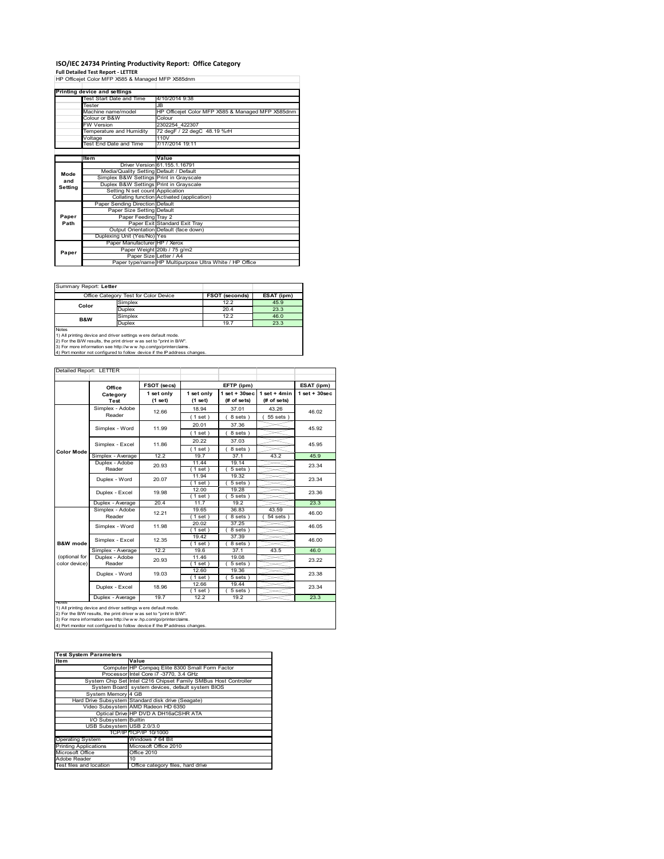# **ISO/IEC 24734 Printing Productivity Report: Office Category Full Detailed Test Report ‐ LETTER** HP Officejet Color MFP X585 & Managed MFP X585dnm

|         | Printing device and settings            |                                                         |
|---------|-----------------------------------------|---------------------------------------------------------|
|         | Test Start Date and Time                | 4/10/2014 9:38                                          |
|         | Tester                                  | .IB                                                     |
|         | Machine name/model                      | HP Officejet Color MFP X585 & Managed MFP X585dnm       |
|         | Colour or B&W                           | Colour                                                  |
|         | <b>FW Version</b>                       | 2302254 422307                                          |
|         | Temperature and Humidity                | 72 degF / 22 degC 48.19 %rH                             |
|         | Voltage                                 | 110V                                                    |
|         | Test End Date and Time                  | 7/17/2014 19:11                                         |
|         |                                         |                                                         |
|         | <b>Item</b>                             | Value                                                   |
|         |                                         | Driver Version 61.155.1.16791                           |
| Mode    | Media/Quality Setting Default / Default |                                                         |
| and     | Simplex B&W Settings Print in Grayscale |                                                         |
| Setting | Duplex B&W Settings Print in Grayscale  |                                                         |
|         | Setting N set count Application         |                                                         |
|         |                                         | Collating function Activated (application)              |
|         | Paper Sending Direction Default         |                                                         |
|         | Paper Size Setting Default              |                                                         |
| Paper   | Paper Feeding Tray 2                    |                                                         |
| Path    |                                         | Paper Exit Standard Exit Tray                           |
|         |                                         | Output Orientation Default (face down)                  |
|         | Duplexing Unit (Yes/No) Yes             |                                                         |
|         | Paper Manufacturer HP / Xerox           |                                                         |
| Paper   |                                         | Paper Weight 20lb / 75 g/m2                             |
|         | Paper Size Letter / A4                  |                                                         |
|         |                                         | Paper type/name HP Multipurpose Ultra White / HP Office |

Summary Report: **Letter**

|                                                                              | Office Category Test for Color Device | <b>FSOT (seconds)</b> | ESAT (ipm) |  |  |  |
|------------------------------------------------------------------------------|---------------------------------------|-----------------------|------------|--|--|--|
| Color                                                                        | Simplex                               | 12.2                  | 45.9       |  |  |  |
|                                                                              | <b>Duplex</b>                         | 20.4                  | 23.3       |  |  |  |
| <b>B&amp;W</b>                                                               | Simplex                               | 12.2                  | 46.0       |  |  |  |
|                                                                              | <b>Duplex</b>                         | 19.7                  | 23.3       |  |  |  |
| <b>Notes</b><br>1) All printing device and driver settings were default mode |                                       |                       |            |  |  |  |

1) All printing device and driver settings were default mode.<br>2) For the B/W results, the print driver was set to "print in B/W".<br>3) For more information see http://www.hp.com/go/printerclaims.<br>4) Port monitor not configur

| Detailed Report: LETTER        |                           |                       |                       |                                   |                               |                   |
|--------------------------------|---------------------------|-----------------------|-----------------------|-----------------------------------|-------------------------------|-------------------|
|                                | Office                    | FSOT (secs)           |                       | EFTP (ipm)                        |                               | ESAT (ipm)        |
|                                | Category<br>Test          | 1 set only<br>(1 set) | 1 set only<br>(1 set) | $1$ set $+30$ sec<br>$#$ of sets) | $1$ set + 4min<br>(# of sets) | $1$ set $+30$ sec |
|                                | Simplex - Adobe<br>Reader | 12.66                 | 18.94<br>(1 set)      | 37.01<br>8 sets)                  | 43.26<br>55 sets )            | 46.02             |
|                                | Simplex - Word            | 11.99                 | 20.01                 | 37.36                             |                               | 45.92             |
|                                | Simplex - Excel           | 11.86                 | (1 set)<br>20.22      | 8 sets)<br>37.03                  |                               | 45.95             |
| <b>Color Mode</b>              | Simplex - Average         | 12.2                  | (1 set)<br>19.7       | 8 sets)<br>37.1                   | 43.2                          | 45.9              |
|                                | Duplex - Adobe<br>Reader  | 20.93                 | 11.44<br>$1$ set      | 19.14<br>$5 sets$ )               |                               | 23.34             |
|                                | Duplex - Word             | 20.07                 | 11.94<br>$1$ set $)$  | 19.32<br>$5 sets$ )               |                               | 23.34             |
|                                | Duplex - Excel            | 19.98                 | 12.00<br>$1$ set)     | 19.28<br>$5 sets$ )               |                               | 23.36             |
|                                | Duplex - Average          | 20.4                  | 11.7                  | 19.2                              |                               | 23.3              |
|                                | Simplex - Adobe<br>Reader | 12.21                 | 19.65<br>(1 set)      | 36.83<br>8 sets)                  | 43.59<br>54 sets              | 46.00             |
|                                | Simplex - Word            | 11.98                 | 20.02<br>$1$ set)     | 37.25<br>8 sets)                  |                               | 46.05             |
| <b>B&amp;W</b> mode            | Simplex - Excel           | 12.35                 | 19.42<br>(1 set)      | 37.39<br>8 sets)                  |                               | 46.00             |
|                                | Simplex - Average         | 12.2                  | 19.6                  | 37.1                              | 43.5                          | 46.0              |
| (optional for<br>color device) | Duplex - Adobe<br>Reader  | 20.93                 | 11.46<br>$1$ set $)$  | 19.08<br>$\overline{5}$ sets $)$  |                               | 23.22             |
|                                | Duplex - Word             | 19.03                 | 12.60<br>$1$ set $)$  | 19.36<br>$5 sets$ )               |                               | 23.38             |
|                                | Duplex - Excel            | 18.96                 | 12.66<br>$1$ set)     | 19.44<br>$5 sets$ )               |                               | 23.34             |
|                                | Duplex - Average          | 19.7                  | 12.2                  | 19.2                              |                               | 23.3              |

nous<br>1) All printing device and driver settings were default mode.<br>2) For the B/W results, the print driver was set to "print in B/W".<br>3) For more information see http://www.hp.com/go/printerclaims.<br>4) Por more information

| <b>Test System Parameters</b> |                                                                 |  |  |  |
|-------------------------------|-----------------------------------------------------------------|--|--|--|
| <b>Item</b>                   | Value                                                           |  |  |  |
|                               | Computer HP Compaq Elite 8300 Small Form Factor                 |  |  |  |
|                               | Processor Intel Core i7 -3770, 3.4 GHz                          |  |  |  |
|                               | System Chip Set Intel C216 Chipset Family SMBus Host Controller |  |  |  |
|                               | System Board system devices, default system BIOS                |  |  |  |
| System Memory 4 GB            |                                                                 |  |  |  |
|                               | Hard Drive Subsystem Standard disk drive (Seagate)              |  |  |  |
|                               | Video Subsystem AMD Radeon HD 6350                              |  |  |  |
|                               | Optical Drive HP DVD A DH16aCSHR ATA                            |  |  |  |
| <b>VO Subsystem</b> Builtin   |                                                                 |  |  |  |
| USB Subsystem USB 2.0/3.0     |                                                                 |  |  |  |
|                               | TCP/IPITCP/IP 10/1000                                           |  |  |  |
| <b>Operating System</b>       | Windows 7 64 Bit                                                |  |  |  |
| <b>Printing Applications</b>  | Microsoft Office 2010                                           |  |  |  |
| Microsoft Office              | Office 2010                                                     |  |  |  |
| Adobe Reader                  | 10                                                              |  |  |  |
| Test files and location       | Office category files, hard drive                               |  |  |  |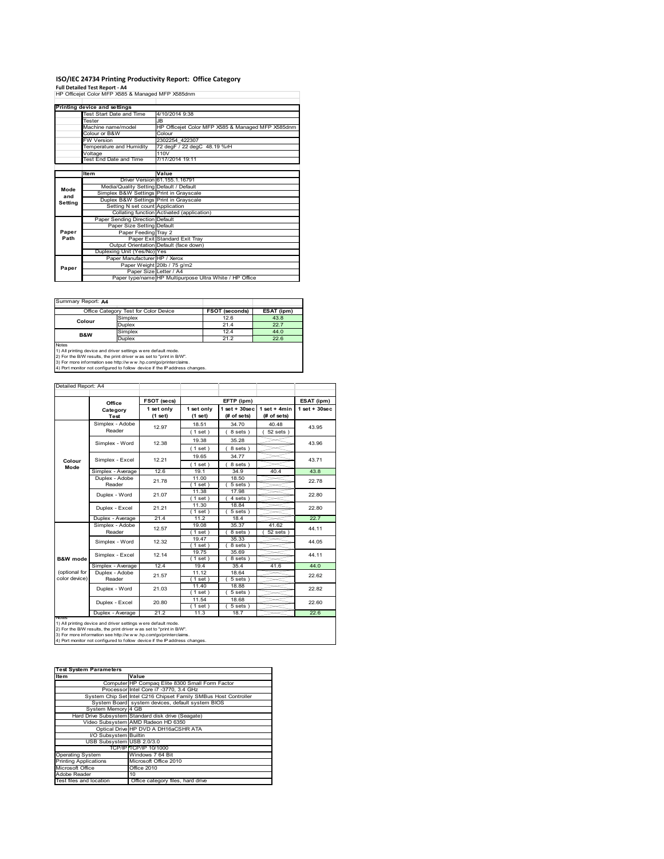# **ISO/IEC 24734 Printing Productivity Report: Office Category Full Detailed Test Report ‐ A4** HP Officejet Color MFP X585 & Managed MFP X585dnm

|         | Printing device and settings            |                                                         |
|---------|-----------------------------------------|---------------------------------------------------------|
|         | Test Start Date and Time                | 4/10/2014 9:38                                          |
|         | Tester                                  | JB.                                                     |
|         | Machine name/model                      | HP Officejet Color MFP X585 & Managed MFP X585dnm       |
|         | Colour or B&W                           | Colour                                                  |
|         | <b>FW Version</b>                       | 2302254 422307                                          |
|         | Temperature and Humidity                | 72 degF / 22 degC 48.19 %rH                             |
|         | Voltage                                 | 110V                                                    |
|         | <b>Test End Date and Time</b>           | 7/17/2014 19:11                                         |
|         |                                         |                                                         |
|         | <b>Item</b>                             | Value                                                   |
|         |                                         | Driver Version 61.155.1.16791                           |
| Mode    | Media/Quality Setting Default / Default |                                                         |
| and     | Simplex B&W Settings Print in Grayscale |                                                         |
| Setting | Duplex B&W Settings Print in Grayscale  |                                                         |
|         | Setting N set count Application         |                                                         |
|         |                                         | Collating function Activated (application)              |
|         | Paper Sending Direction Default         |                                                         |
|         | Paper Size Setting Default              |                                                         |
| Paper   | Paper Feeding Tray 2                    |                                                         |
| Path    |                                         | Paper Exit Standard Exit Tray                           |
|         |                                         | Output Orientation Default (face down)                  |
|         | Duplexing Unit (Yes/No) Yes             |                                                         |
|         | Paper Manufacturer HP / Xerox           |                                                         |
| Paper   |                                         | Paper Weight 20lb / 75 g/m2                             |
|         | Paper Size Letter / A4                  |                                                         |
|         |                                         | Paper type/name HP Multipurpose Ultra White / HP Office |

Summary Report: **A4**

| <b>JUILLIAR ROUDLAT</b>                                                                                                                              |                                       |                       |            |  |  |  |
|------------------------------------------------------------------------------------------------------------------------------------------------------|---------------------------------------|-----------------------|------------|--|--|--|
|                                                                                                                                                      | Office Category Test for Color Device | <b>FSOT (seconds)</b> | ESAT (ipm) |  |  |  |
| Colour                                                                                                                                               | Simplex                               | 12.6                  | 43.8       |  |  |  |
|                                                                                                                                                      | <b>Duplex</b>                         | 21.4                  | 22.7       |  |  |  |
| B&W                                                                                                                                                  | Simplex                               | 12.4                  | 44.0       |  |  |  |
|                                                                                                                                                      | <b>Duplex</b>                         | 21.2                  | 22.6       |  |  |  |
| <b>Notes</b><br>1) All printing device and driver settings were default mode.<br>2) For the B/W results, the print driver was set to "print in B/W". |                                       |                       |            |  |  |  |

2) For the B/W results, the print driver w as set to "print in B/W".<br>3) For more information see http://w w w.hp.com/go/printerclaims.<br>4) Port monitor not configured to follow device if the IP address changes.

| Detailed Report: A4            |                           |                       |                       |                                  |                                |                    |
|--------------------------------|---------------------------|-----------------------|-----------------------|----------------------------------|--------------------------------|--------------------|
|                                | Office                    | FSOT (secs)           |                       | EFTP (ipm)                       |                                | ESAT (ipm)         |
|                                | Category<br>Test          | 1 set only<br>(1 set) | 1 set only<br>(1 set) | $1$ set $+30$ sec<br>(# of sets) | $1$ set + 4min<br>$#$ of sets) | $1$ set + $30$ sec |
|                                | Simplex - Adobe<br>Reader | 12.97                 | 18.51                 | 34.70                            | 40.48                          | 43.95              |
|                                |                           |                       | (1 set)               | 8 sets)                          | $52$ sets $)$                  |                    |
|                                | Simplex - Word            | 12.38                 | 19.38                 | 35.28                            |                                | 43.96              |
|                                |                           |                       | (1 set)               | 8 sets)                          |                                |                    |
| Colour                         | Simplex - Excel           | 12.21                 | 19.65                 | 34.77                            |                                | 43.71              |
| Mode                           |                           |                       | (1 set)               | 8 sets)                          |                                |                    |
|                                | Simplex - Average         | 12.6                  | 19.1                  | 34.9                             | 40.4                           | 43.8               |
|                                | Duplex - Adobe            | 21.78                 | 11.00                 | 18.50                            |                                | 22.78              |
|                                | Reader                    |                       | $1$ set)              | $5 sets$ )                       |                                |                    |
|                                | Duplex - Word             | 21.07                 | 11.38<br>$1$ set $)$  | 17.98<br>4 sets)                 |                                | 22.80              |
|                                | Duplex - Excel            | 21.21                 | 11.30                 | 18.84                            |                                | 22.80              |
|                                |                           |                       | $1$ set)              | $5 sets$ )                       |                                |                    |
|                                | Duplex - Average          | 21.4                  | 11.2                  | 18.4                             |                                | 22.7               |
|                                | Simplex - Adobe           | 12.57                 | 19.08                 | 35.37                            | 41.62                          | 44.11              |
|                                | Reader                    |                       | $1$ set)              | 8 sets)                          | 52 sets                        |                    |
|                                | Simplex - Word            | 12.32                 | 19.47                 | 35.33                            |                                | 44.05              |
|                                |                           |                       | (1 set)               | 8 sets)                          |                                |                    |
|                                | Simplex - Excel           | 12.14                 | 19.75                 | 35.69                            |                                | 44.11              |
| <b>B&amp;W</b> mode            |                           |                       | $1$ set)              | 8 sets)                          |                                |                    |
|                                | Simplex - Average         | 12.4                  | 19.4                  | 35.4                             | 41.6                           | 44.0               |
| (optional for<br>color device) | Duplex - Adobe<br>Reader  | 21.57                 | 11.12<br>$1$ set)     | 18.64<br>$\overline{5}$ sets)    |                                | 22.62              |
|                                |                           |                       | 11.40                 | 18.88                            |                                |                    |
|                                | Duplex - Word             | 21.03                 | $1$ set)              | $5 sets$ )                       |                                | 22.82              |
|                                |                           |                       | 11.54                 | 18.68                            |                                |                    |
|                                | Duplex - Excel            | 20.80                 | $1$ set)              | 5 sets)                          |                                | 22.60              |
|                                | Duplex - Average          | 21.2                  | 11.3                  | 18.7                             |                                | 22.6               |

notes<br>1) All printing device and driver settings were default mode.<br>2) For the B/W results, the print driver was set to "print in B/W".<br>3) For more information see http://www.hp.com/go/printerclaims.<br>4) Por more informatio

| <b>Test System Parameters</b> |                                                                 |  |  |  |
|-------------------------------|-----------------------------------------------------------------|--|--|--|
| <b>Item</b>                   | Value                                                           |  |  |  |
|                               | Computer HP Compaq Elite 8300 Small Form Factor                 |  |  |  |
|                               | Processor Intel Core i7 -3770, 3.4 GHz                          |  |  |  |
|                               | System Chip Set Intel C216 Chipset Family SMBus Host Controller |  |  |  |
|                               | System Board system devices, default system BIOS                |  |  |  |
| System Memory 4 GB            |                                                                 |  |  |  |
|                               | Hard Drive Subsystem Standard disk drive (Seagate)              |  |  |  |
|                               | Video Subsystem AMD Radeon HD 6350                              |  |  |  |
|                               | Optical Drive HP DVD A DH16aCSHR ATA                            |  |  |  |
| I/O Subsystem Builtin         |                                                                 |  |  |  |
| USB Subsystem USB 2.0/3.0     |                                                                 |  |  |  |
|                               | TCP/IPITCP/IP 10/1000                                           |  |  |  |
| <b>Operating System</b>       | Windows 7 64 Bit                                                |  |  |  |
| <b>Printing Applications</b>  | Microsoft Office 2010                                           |  |  |  |
| Microsoft Office              | Office 2010                                                     |  |  |  |
| Adobe Reader                  | 10                                                              |  |  |  |
| Test files and location       | Office category files, hard drive                               |  |  |  |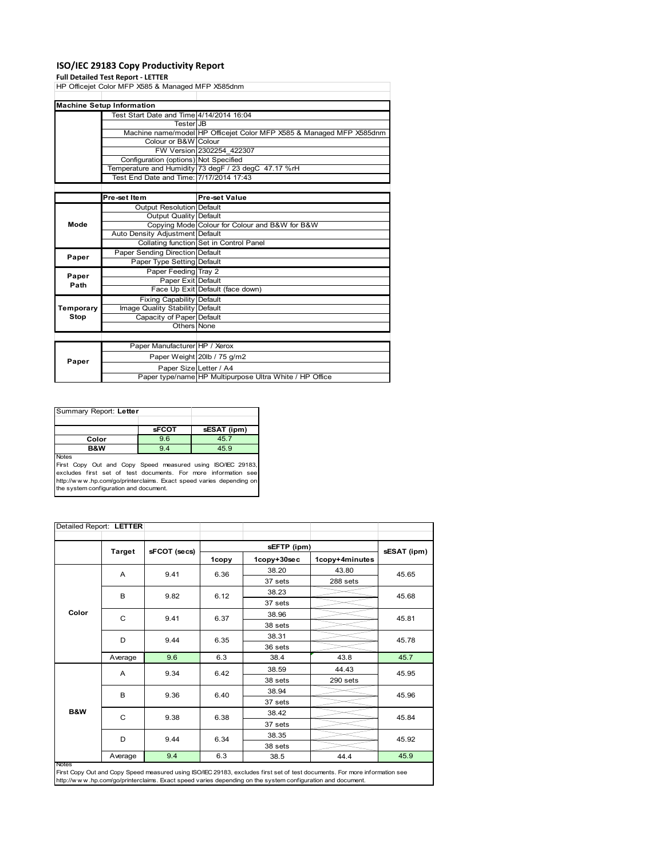#### **ISO/IEC 29183 Copy Productivity Report**

**Full Detailed Test Report ‐ LETTER** HP Officejet Color MFP X585 & Managed MFP X585dnm Test Start Date and Time 4/14/2014 16:04 Tester JB Machine name/model HP Officejet Color MFP X585 & Managed MFP X585dnm Colour or B&W Colour FW Version 2302254\_422307 Configuration (options) Not Specified Temperature and Humidity 73 degF / 23 degC 47.17 %rH Test End Date and Time: 7/17/2014 17:43 Pre-set Item **Pre-set Value** Output Resolution Default Output Quality Default Copying Mode Colour for Colour and B&W for B&W Auto Density Adjustment Default Collating function Set in Control Panel Paper Sending Direction Default Paper Type Setting Default Paper Feeding Tray 2 Paper Exit Default Face Up Exit Default (face down) Fixing Capability Default Image Quality Stability Default Capacity of Paper Default Others None Paper Manufacturer HP / Xerox Paper Weight 20lb / 75 g/m2 Paper Size Letter / A4 **Machine Setup Information Paper Paper Paper Path Temporary Stop Mode**

Paper type/name HP Multipurpose Ultra White / HP Office

| Summary Report: Letter                                                             |              |             |
|------------------------------------------------------------------------------------|--------------|-------------|
|                                                                                    | <b>SFCOT</b> | sESAT (ipm) |
| Color                                                                              | 9.6          | 45.7        |
| <b>B&amp;W</b>                                                                     | 9.4          | 45.9        |
| <b>Notes</b><br><b>First Copy Out and Copy Speed measured using ISO/IEC 29183.</b> |              |             |

First Copy Out and Copy Speed measured using ISO/IEC 29183, excludes first set of test documents. For more information see http://w w w .hp.com/go/printerclaims. Exact speed varies depending on the system configuration and document.

|       | Detailed Report: LETTER |              |       |             |                |             |
|-------|-------------------------|--------------|-------|-------------|----------------|-------------|
|       | Target                  | sFCOT (secs) |       | sEFTP (ipm) |                | sESAT (ipm) |
|       |                         |              | 1copy | 1copy+30sec | 1copy+4minutes |             |
|       | A                       | 9.41         | 6.36  | 38.20       | 43.80          | 45.65       |
|       |                         |              |       | 37 sets     | 288 sets       |             |
|       | B                       | 9.82         | 6.12  | 38.23       |                | 45.68       |
|       |                         |              |       | 37 sets     |                |             |
| Color | C                       | 9.41         | 6.37  | 38.96       |                | 45.81       |
|       |                         |              |       | 38 sets     |                |             |
|       | D                       | 9.44         | 6.35  | 38.31       |                | 45.78       |
|       |                         |              |       | 36 sets     |                |             |
|       | Average                 | 9.6          | 6.3   | 38.4        | 43.8           | 45.7        |
|       | Α                       | 9.34         | 6.42  | 38.59       | 44.43          | 45.95       |
|       |                         |              |       | 38 sets     | 290 sets       |             |
|       | B                       | 9.36         | 6.40  | 38.94       |                | 45.96       |
|       |                         |              |       | 37 sets     |                |             |
| B&W   | C                       | 9.38         | 6.38  | 38.42       |                | 45.84       |
|       |                         |              |       | 37 sets     |                |             |
|       | D                       | 9.44         | 6.34  | 38.35       |                | 45.92       |
|       |                         |              |       | 38 sets     |                |             |
|       | Average                 | 9.4          | 6.3   | 38.5        | 44.4           | 45.9        |

First Copy Out and Copy Speed measured using ISO/IEC 29183, excludes first set of test documents. For more information see<br>http://w w w .hp.com/go/printerclaims. Exact speed varies depending on the system configuration and